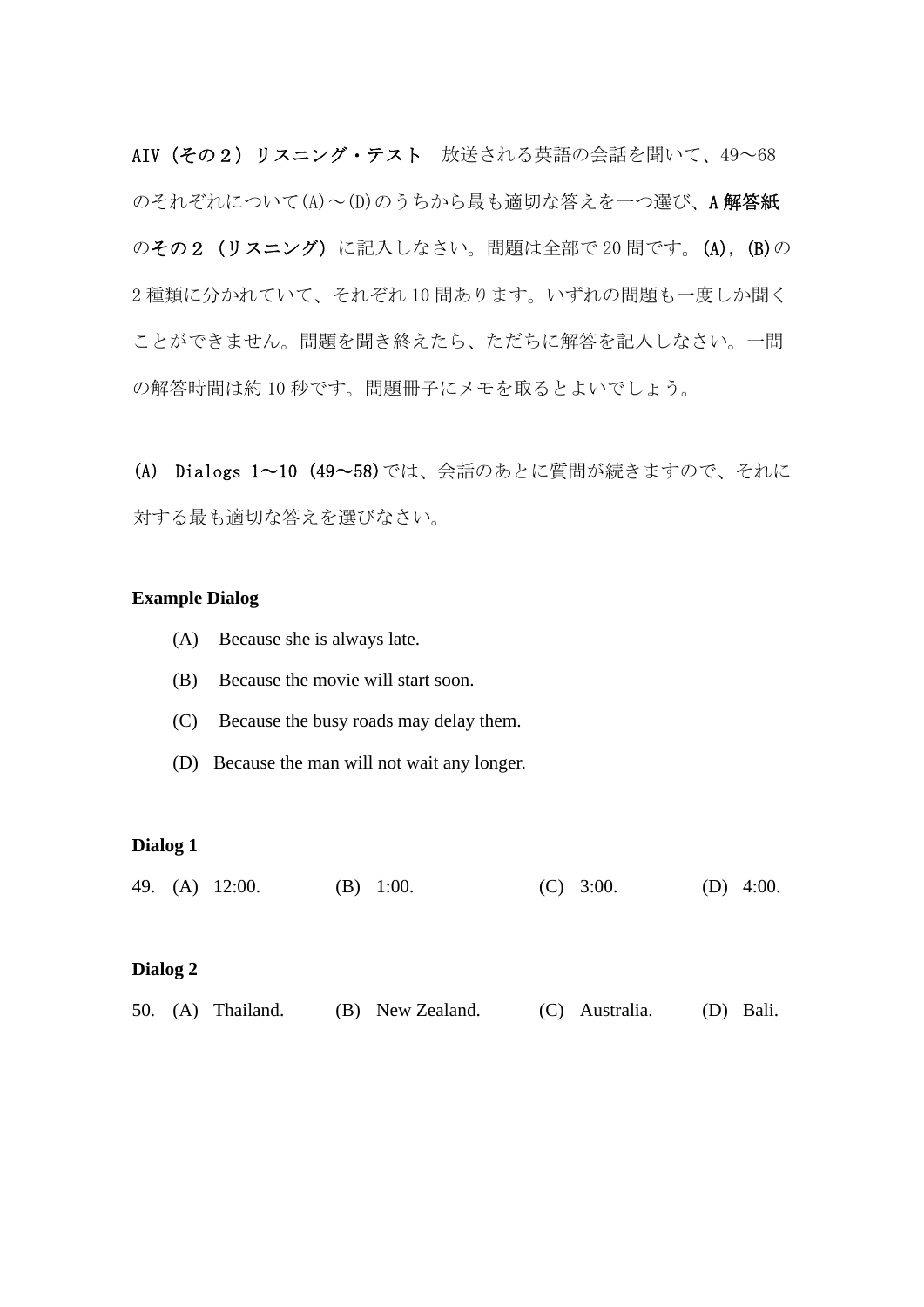AIV(その2) リスニング・テスト 放送される英語の会話を聞いて、49~68 のそれぞれについて(A)~(D)のうちから最も適切な答えを一つ選び、A 解答紙 のその2 (リスニング)に記入しなさい。問題は全部で 20 間です。(A), (B)の 2 種類に分かれていて、それぞれ 10 問あります。いずれの問題も一度しか聞く ことができません。問題を聞き終えたら、ただちに解答を記入しなさい。一問 の解答時間は約 10 秒です。問題冊子にメモを取るとよいでしょう。

(A) Dialogs 1~10 (49~58)では、会話のあとに質問が続きますので、それに 対する最も適切な答えを選びなさい。

#### **Example Dialog**

- (A) Because she is always late.
- (B) Because the movie will start soon.
- (C) Because the busy roads may delay them.
- (D) Because the man will not wait any longer.

#### **Dialog 1**

49. (A) 12:00. (B) 1:00. (C) 3:00. (D) 4:00.

#### **Dialog 2**

|  |  | 50. (A) Thailand. |  | (B) New Zealand. |  | (C) Australia. |  | (D) Bali. |
|--|--|-------------------|--|------------------|--|----------------|--|-----------|
|--|--|-------------------|--|------------------|--|----------------|--|-----------|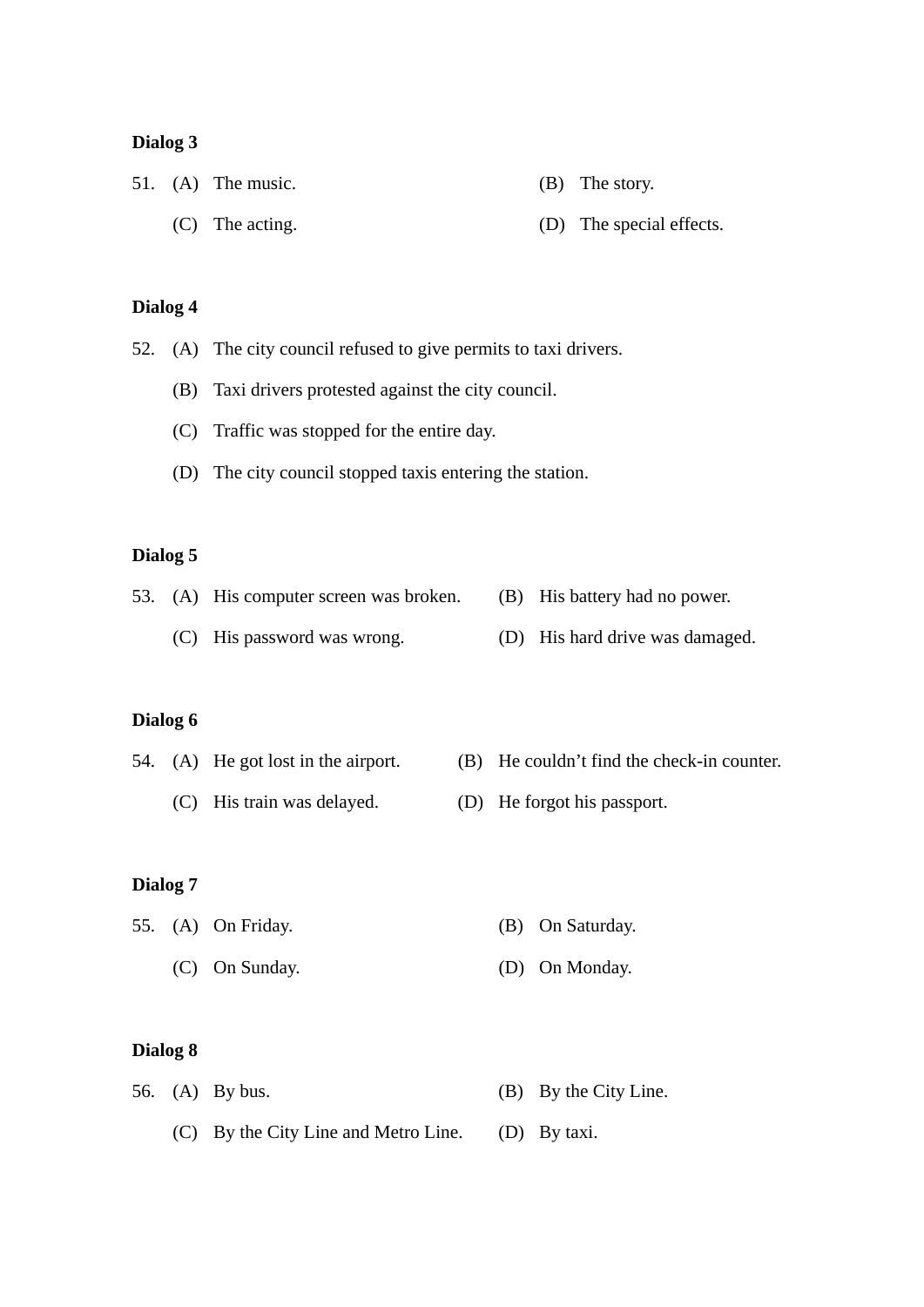### **Dialog 3**

|  | 51. $(A)$ The music. | $(B)$ The story.         |
|--|----------------------|--------------------------|
|  | $(C)$ The acting.    | (D) The special effects. |

# **Dialog 4**

52. (A) The city council refused to give permits to taxi drivers.

- (B) Taxi drivers protested against the city council.
- (C) Traffic was stopped for the entire day.
- (D) The city council stopped taxis entering the station.

# **Dialog 5**

|  | 53. (A) His computer screen was broken. | (B) His battery had no power.   |
|--|-----------------------------------------|---------------------------------|
|  | (C) His password was wrong.             | (D) His hard drive was damaged. |

#### **Dialog 6**

|  | 54. (A) He got lost in the airport. | (B) He couldn't find the check-in counter. |
|--|-------------------------------------|--------------------------------------------|
|  |                                     |                                            |

(C) His train was delayed. (D) He forgot his passport.

#### **Dialog 7**

|  | 55. (A) On Friday. | (B) On Saturday. |
|--|--------------------|------------------|
|  | $(C)$ On Sunday.   | (D) On Monday.   |

#### **Dialog 8**

|  | 56. (A) By bus.                      | (B) By the City Line. |
|--|--------------------------------------|-----------------------|
|  | (C) By the City Line and Metro Line. | (D) By taxi.          |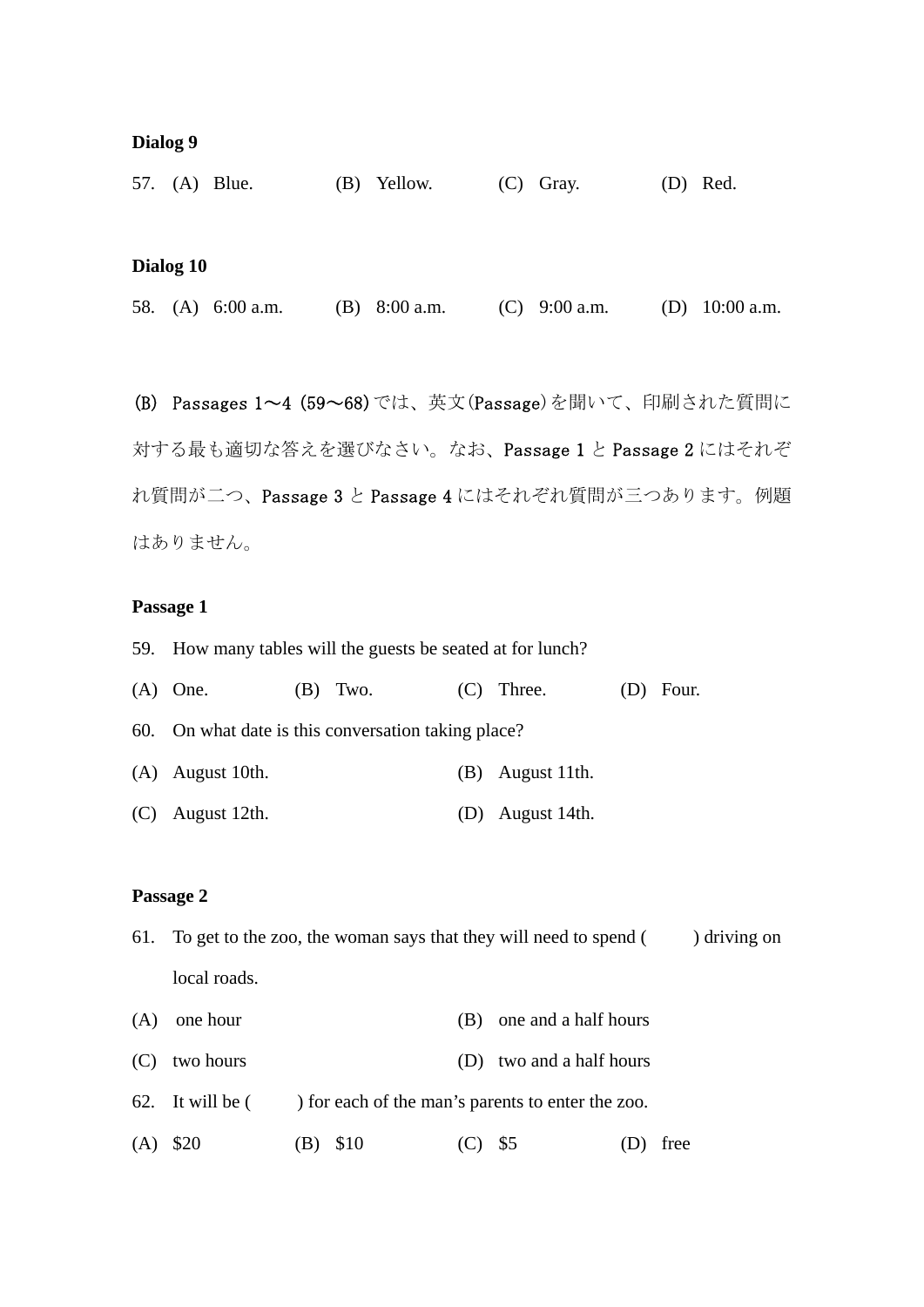#### **Dialog 9**

|           | 57. (A) Blue.       | (B) | Yellow.         | (C) | Gray.           | $(D)$ Red.       |
|-----------|---------------------|-----|-----------------|-----|-----------------|------------------|
|           |                     |     |                 |     |                 |                  |
|           |                     |     |                 |     |                 |                  |
| Dialog 10 |                     |     |                 |     |                 |                  |
|           | 58. (A) $6:00$ a.m. |     | (B) $8:00$ a.m. |     | (C) $9:00$ a.m. | (D) $10:00$ a.m. |
|           |                     |     |                 |     |                 |                  |
|           |                     |     |                 |     |                 |                  |

(B) Passages 1~4 (59~68)では、英文(Passage)を聞いて、印刷された質問に 対する最も適切な答えを選びなさい。なお、Passage 1 と Passage 2 にはそれぞ れ質問が二つ、Passage 3 と Passage 4 にはそれぞれ質問が三つあります。例題 はありません。

### **Passage 1**

59. How many tables will the guests be seated at for lunch?

| $(A)$ One.                                          | $(B)$ Two. | $(C)$ Three.       | $(D)$ Four. |
|-----------------------------------------------------|------------|--------------------|-------------|
| 60. On what date is this conversation taking place? |            |                    |             |
| $(A)$ August 10th.                                  |            | $(B)$ August 11th. |             |
| $(C)$ August 12th.                                  |            | (D) August 14th.   |             |

#### **Passage 2**

- 61. To get to the zoo, the woman says that they will need to spend  $($ ) driving on local roads.
- (A) one hour (B) one and a half hours
- (C) two hours (D) two and a half hours
- 62. It will be ( ) for each of the man's parents to enter the zoo.
- (A) \$20 (B) \$10 (C) \$5 (D) free